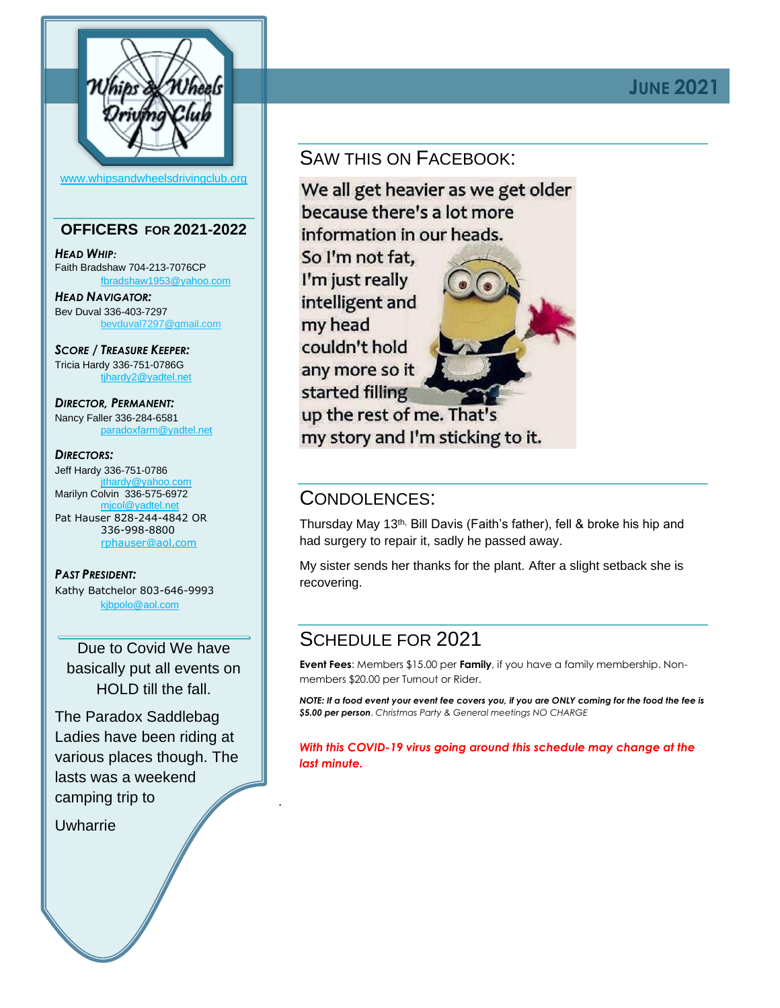

#### [www.whipsandwheelsdrivingclub.org](http://www.whipsandwheelsdrivingclub.org/)

### **OFFICERS FOR 2021-2022**

*HEAD WHIP:* Faith Bradshaw 704-213-7076CP [fbradshaw1953@yahoo.com](mailto:fbradshaw1953@yahoo.com)

*HEAD NAVIGATOR:* Bev Duval 336-403-7297 [bevduval7297@gmail.com](mailto:bevduval7297@gmail.com)

*SCORE / TREASURE KEEPER:* Tricia Hardy 336-751-0786G [tjhardy2@yadtel.net](mailto:tjhardy2@yadtel.net)

*DIRECTOR, PERMANENT:* Nancy Faller 336-284-6581 [paradoxfarm@yadtel.net](mailto:paradoxfarm@yadtel.net)

#### *DIRECTORS:*

Jeff Hardy 336-751-0786 [jthardy@yahoo.com](mailto:jthardy@yahoo.com) Marilyn Colvin 336-575-6972 micol@yadtel.ne Pat Hauser 828-244-4842 OR 336-998-8800 [rphauser@aol.com](mailto:rphauser@aol.com)

*PAST PRESIDENT:* Kathy Batchelor 803-646-9993

[kjbpolo@aol.com](mailto:kjbpolo@aol.com)

Due to Covid We have basically put all events on HOLD till the fall.

The Paradox Saddlebag Ladies have been riding at various places though. The lasts was a weekend camping trip to

Uwharrie

# SAW THIS ON FACEBOOK:

We all get heavier as we get older because there's a lot more information in our heads.

So I'm not fat. I'm just really intelligent and my head couldn't hold any more so it started filling up the rest of me. That's my story and I'm sticking to it.

### CONDOLENCES:

Thursday May 13<sup>th,</sup> Bill Davis (Faith's father), fell & broke his hip and had surgery to repair it, sadly he passed away.

My sister sends her thanks for the plant. After a slight setback she is recovering.

## SCHEDULE FOR 2021

.

**Event Fees**: Members \$15.00 per **Family**, if you have a family membership. Nonmembers \$20.00 per Turnout or Rider.

*NOTE: If a food event your event fee covers you, if you are ONLY coming for the food the fee is \$5.00 per person*. *Christmas Party & General meetings NO CHARGE*

*With this COVID-19 virus going around this schedule may change at the last minute.*

## **JUNE 2021**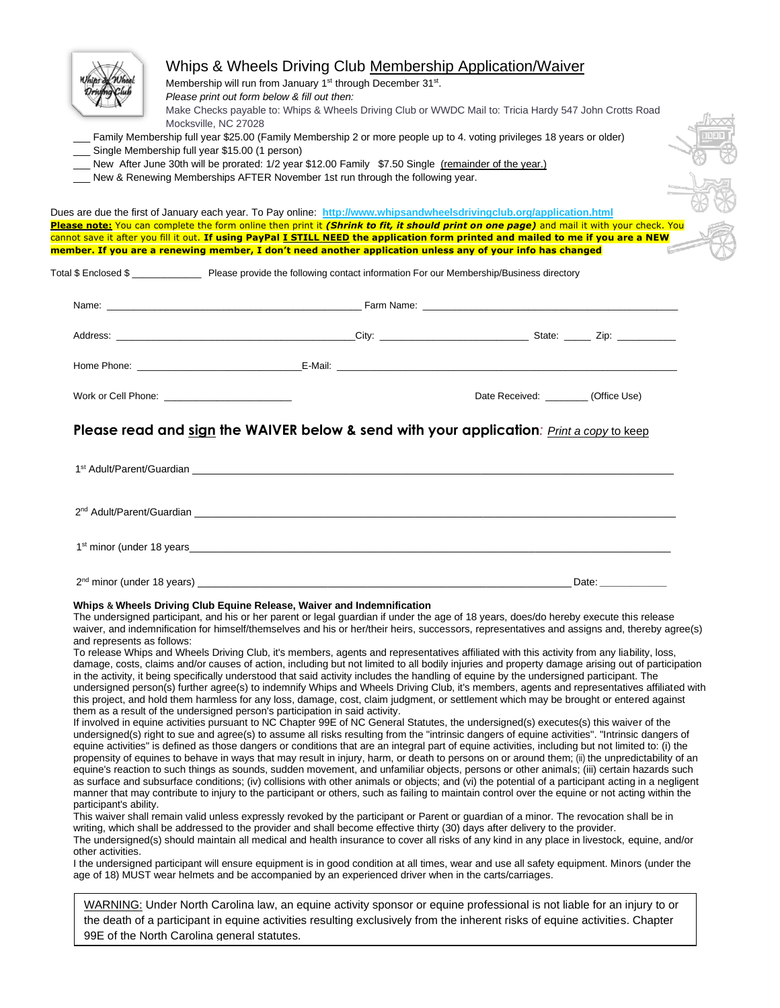| Single Membership full year \$15.00 (1 person)                            | Membership will run from January 1 <sup>st</sup> through December 31 <sup>st</sup> .<br>Please print out form below & fill out then:<br>Make Checks payable to: Whips & Wheels Driving Club or WWDC Mail to: Tricia Hardy 547 John Crotts Road<br>Mocksville, NC 27028<br>Family Membership full year \$25.00 (Family Membership 2 or more people up to 4. voting privileges 18 years or older)                                     |                                                                                                                                                                                                                                                                                                                                                                                                                                                                                                                                                                                                                                                                                                                                                                                                                                                                                                                                                                                                                                                                                                                                                                                                                                                                                                                                                                                                                                                                                                                                                                                                                                                                                                                                                                                                                                                                                                                                                                                                                                                                                                                                                                                                                                         |
|---------------------------------------------------------------------------|-------------------------------------------------------------------------------------------------------------------------------------------------------------------------------------------------------------------------------------------------------------------------------------------------------------------------------------------------------------------------------------------------------------------------------------|-----------------------------------------------------------------------------------------------------------------------------------------------------------------------------------------------------------------------------------------------------------------------------------------------------------------------------------------------------------------------------------------------------------------------------------------------------------------------------------------------------------------------------------------------------------------------------------------------------------------------------------------------------------------------------------------------------------------------------------------------------------------------------------------------------------------------------------------------------------------------------------------------------------------------------------------------------------------------------------------------------------------------------------------------------------------------------------------------------------------------------------------------------------------------------------------------------------------------------------------------------------------------------------------------------------------------------------------------------------------------------------------------------------------------------------------------------------------------------------------------------------------------------------------------------------------------------------------------------------------------------------------------------------------------------------------------------------------------------------------------------------------------------------------------------------------------------------------------------------------------------------------------------------------------------------------------------------------------------------------------------------------------------------------------------------------------------------------------------------------------------------------------------------------------------------------------------------------------------------------|
|                                                                           | New After June 30th will be prorated: 1/2 year \$12.00 Family \$7.50 Single (remainder of the year.)                                                                                                                                                                                                                                                                                                                                |                                                                                                                                                                                                                                                                                                                                                                                                                                                                                                                                                                                                                                                                                                                                                                                                                                                                                                                                                                                                                                                                                                                                                                                                                                                                                                                                                                                                                                                                                                                                                                                                                                                                                                                                                                                                                                                                                                                                                                                                                                                                                                                                                                                                                                         |
|                                                                           | New & Renewing Memberships AFTER November 1st run through the following year.                                                                                                                                                                                                                                                                                                                                                       |                                                                                                                                                                                                                                                                                                                                                                                                                                                                                                                                                                                                                                                                                                                                                                                                                                                                                                                                                                                                                                                                                                                                                                                                                                                                                                                                                                                                                                                                                                                                                                                                                                                                                                                                                                                                                                                                                                                                                                                                                                                                                                                                                                                                                                         |
|                                                                           |                                                                                                                                                                                                                                                                                                                                                                                                                                     |                                                                                                                                                                                                                                                                                                                                                                                                                                                                                                                                                                                                                                                                                                                                                                                                                                                                                                                                                                                                                                                                                                                                                                                                                                                                                                                                                                                                                                                                                                                                                                                                                                                                                                                                                                                                                                                                                                                                                                                                                                                                                                                                                                                                                                         |
|                                                                           | Dues are due the first of January each year. To Pay online: http://www.whipsandwheelsdrivingclub.org/application.html                                                                                                                                                                                                                                                                                                               | Please note: You can complete the form online then print it (Shrink to fit, it should print on one page) and mail it with your check. You                                                                                                                                                                                                                                                                                                                                                                                                                                                                                                                                                                                                                                                                                                                                                                                                                                                                                                                                                                                                                                                                                                                                                                                                                                                                                                                                                                                                                                                                                                                                                                                                                                                                                                                                                                                                                                                                                                                                                                                                                                                                                               |
|                                                                           | member. If you are a renewing member, I don't need another application unless any of your info has changed                                                                                                                                                                                                                                                                                                                          | cannot save it after you fill it out. If using PayPal I STILL NEED the application form printed and mailed to me if you are a NEW                                                                                                                                                                                                                                                                                                                                                                                                                                                                                                                                                                                                                                                                                                                                                                                                                                                                                                                                                                                                                                                                                                                                                                                                                                                                                                                                                                                                                                                                                                                                                                                                                                                                                                                                                                                                                                                                                                                                                                                                                                                                                                       |
|                                                                           |                                                                                                                                                                                                                                                                                                                                                                                                                                     |                                                                                                                                                                                                                                                                                                                                                                                                                                                                                                                                                                                                                                                                                                                                                                                                                                                                                                                                                                                                                                                                                                                                                                                                                                                                                                                                                                                                                                                                                                                                                                                                                                                                                                                                                                                                                                                                                                                                                                                                                                                                                                                                                                                                                                         |
|                                                                           | Total \$ Enclosed \$ __________________ Please provide the following contact information For our Membership/Business directory                                                                                                                                                                                                                                                                                                      |                                                                                                                                                                                                                                                                                                                                                                                                                                                                                                                                                                                                                                                                                                                                                                                                                                                                                                                                                                                                                                                                                                                                                                                                                                                                                                                                                                                                                                                                                                                                                                                                                                                                                                                                                                                                                                                                                                                                                                                                                                                                                                                                                                                                                                         |
|                                                                           |                                                                                                                                                                                                                                                                                                                                                                                                                                     |                                                                                                                                                                                                                                                                                                                                                                                                                                                                                                                                                                                                                                                                                                                                                                                                                                                                                                                                                                                                                                                                                                                                                                                                                                                                                                                                                                                                                                                                                                                                                                                                                                                                                                                                                                                                                                                                                                                                                                                                                                                                                                                                                                                                                                         |
|                                                                           |                                                                                                                                                                                                                                                                                                                                                                                                                                     |                                                                                                                                                                                                                                                                                                                                                                                                                                                                                                                                                                                                                                                                                                                                                                                                                                                                                                                                                                                                                                                                                                                                                                                                                                                                                                                                                                                                                                                                                                                                                                                                                                                                                                                                                                                                                                                                                                                                                                                                                                                                                                                                                                                                                                         |
|                                                                           |                                                                                                                                                                                                                                                                                                                                                                                                                                     |                                                                                                                                                                                                                                                                                                                                                                                                                                                                                                                                                                                                                                                                                                                                                                                                                                                                                                                                                                                                                                                                                                                                                                                                                                                                                                                                                                                                                                                                                                                                                                                                                                                                                                                                                                                                                                                                                                                                                                                                                                                                                                                                                                                                                                         |
|                                                                           |                                                                                                                                                                                                                                                                                                                                                                                                                                     |                                                                                                                                                                                                                                                                                                                                                                                                                                                                                                                                                                                                                                                                                                                                                                                                                                                                                                                                                                                                                                                                                                                                                                                                                                                                                                                                                                                                                                                                                                                                                                                                                                                                                                                                                                                                                                                                                                                                                                                                                                                                                                                                                                                                                                         |
|                                                                           |                                                                                                                                                                                                                                                                                                                                                                                                                                     |                                                                                                                                                                                                                                                                                                                                                                                                                                                                                                                                                                                                                                                                                                                                                                                                                                                                                                                                                                                                                                                                                                                                                                                                                                                                                                                                                                                                                                                                                                                                                                                                                                                                                                                                                                                                                                                                                                                                                                                                                                                                                                                                                                                                                                         |
|                                                                           |                                                                                                                                                                                                                                                                                                                                                                                                                                     | Date Received: ________(Office Use)                                                                                                                                                                                                                                                                                                                                                                                                                                                                                                                                                                                                                                                                                                                                                                                                                                                                                                                                                                                                                                                                                                                                                                                                                                                                                                                                                                                                                                                                                                                                                                                                                                                                                                                                                                                                                                                                                                                                                                                                                                                                                                                                                                                                     |
|                                                                           |                                                                                                                                                                                                                                                                                                                                                                                                                                     |                                                                                                                                                                                                                                                                                                                                                                                                                                                                                                                                                                                                                                                                                                                                                                                                                                                                                                                                                                                                                                                                                                                                                                                                                                                                                                                                                                                                                                                                                                                                                                                                                                                                                                                                                                                                                                                                                                                                                                                                                                                                                                                                                                                                                                         |
|                                                                           |                                                                                                                                                                                                                                                                                                                                                                                                                                     |                                                                                                                                                                                                                                                                                                                                                                                                                                                                                                                                                                                                                                                                                                                                                                                                                                                                                                                                                                                                                                                                                                                                                                                                                                                                                                                                                                                                                                                                                                                                                                                                                                                                                                                                                                                                                                                                                                                                                                                                                                                                                                                                                                                                                                         |
|                                                                           |                                                                                                                                                                                                                                                                                                                                                                                                                                     |                                                                                                                                                                                                                                                                                                                                                                                                                                                                                                                                                                                                                                                                                                                                                                                                                                                                                                                                                                                                                                                                                                                                                                                                                                                                                                                                                                                                                                                                                                                                                                                                                                                                                                                                                                                                                                                                                                                                                                                                                                                                                                                                                                                                                                         |
|                                                                           |                                                                                                                                                                                                                                                                                                                                                                                                                                     |                                                                                                                                                                                                                                                                                                                                                                                                                                                                                                                                                                                                                                                                                                                                                                                                                                                                                                                                                                                                                                                                                                                                                                                                                                                                                                                                                                                                                                                                                                                                                                                                                                                                                                                                                                                                                                                                                                                                                                                                                                                                                                                                                                                                                                         |
| and represents as follows:<br>participant's ability.<br>other activities. | Whips & Wheels Driving Club Equine Release, Waiver and Indemnification<br>in the activity, it being specifically understood that said activity includes the handling of equine by the undersigned participant. The<br>them as a result of the undersigned person's participation in said activity.<br>writing, which shall be addressed to the provider and shall become effective thirty (30) days after delivery to the provider. | The undersigned participant, and his or her parent or legal guardian if under the age of 18 years, does/do hereby execute this release<br>waiver, and indemnification for himself/themselves and his or her/their heirs, successors, representatives and assigns and, thereby agree(s)<br>To release Whips and Wheels Driving Club, it's members, agents and representatives affiliated with this activity from any liability, loss,<br>damage, costs, claims and/or causes of action, including but not limited to all bodily injuries and property damage arising out of participation<br>undersigned person(s) further agree(s) to indemnify Whips and Wheels Driving Club, it's members, agents and representatives affiliated with<br>this project, and hold them harmless for any loss, damage, cost, claim judgment, or settlement which may be brought or entered against<br>If involved in equine activities pursuant to NC Chapter 99E of NC General Statutes, the undersigned(s) executes(s) this waiver of the<br>undersigned(s) right to sue and agree(s) to assume all risks resulting from the "intrinsic dangers of equine activities". "Intrinsic dangers of<br>equine activities" is defined as those dangers or conditions that are an integral part of equine activities, including but not limited to: (i) the<br>propensity of equines to behave in ways that may result in injury, harm, or death to persons on or around them; (ii) the unpredictability of an<br>equine's reaction to such things as sounds, sudden movement, and unfamiliar objects, persons or other animals; (iii) certain hazards such<br>as surface and subsurface conditions; (iv) collisions with other animals or objects; and (vi) the potential of a participant acting in a negligent<br>manner that may contribute to injury to the participant or others, such as failing to maintain control over the equine or not acting within the<br>This waiver shall remain valid unless expressly revoked by the participant or Parent or guardian of a minor. The revocation shall be in<br>The undersigned(s) should maintain all medical and health insurance to cover all risks of any kind in any place in livestock, equine, and/or |
|                                                                           | age of 18) MUST wear helmets and be accompanied by an experienced driver when in the carts/carriages.                                                                                                                                                                                                                                                                                                                               | I the undersigned participant will ensure equipment is in good condition at all times, wear and use all safety equipment. Minors (under the<br>WARNING: Under North Carolina law, an equine activity sponsor or equine professional is not liable for an injury to or                                                                                                                                                                                                                                                                                                                                                                                                                                                                                                                                                                                                                                                                                                                                                                                                                                                                                                                                                                                                                                                                                                                                                                                                                                                                                                                                                                                                                                                                                                                                                                                                                                                                                                                                                                                                                                                                                                                                                                   |